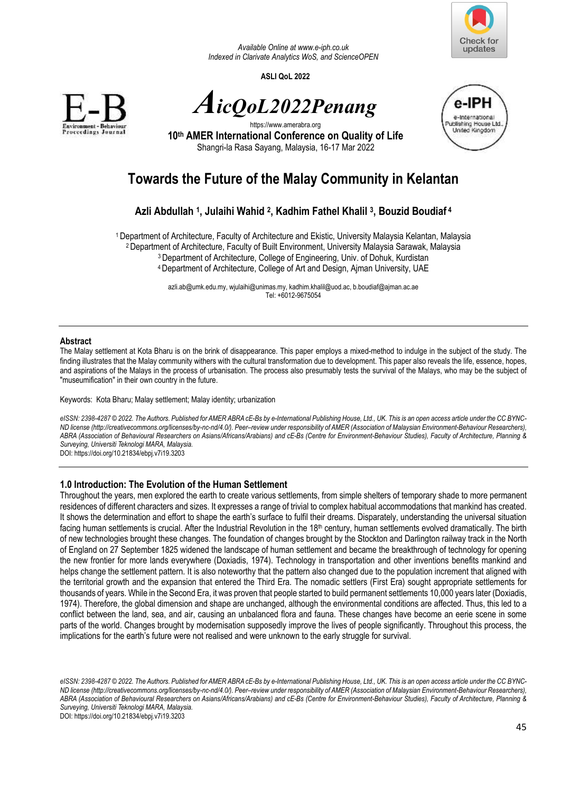

*Available Online a[t www.e-iph.co.uk](http://www.e-iph.co.uk/)  Indexed in Clarivate Analytics WoS, and ScienceOPEN* 

**ASLI QoL 2022** 









**10th AMER International Conference on Quality of Life** Shangri-la Rasa Sayang, Malaysia, 16-17 Mar 2022

# **Towards the Future of the Malay Community in Kelantan**

## **Azli Abdullah <sup>1</sup> , Julaihi Wahid <sup>2</sup> , Kadhim Fathel Khalil <sup>3</sup> , Bouzid Boudiaf<sup>4</sup>**

Department of Architecture, Faculty of Architecture and Ekistic, University Malaysia Kelantan, Malaysia Department of Architecture, Faculty of Built Environment, University Malaysia Sarawak, Malaysia Department of Architecture, College of Engineering, Univ. of Dohuk, Kurdistan Department of Architecture, College of Art and Design, Ajman University, UAE

> [azli.ab@umk.edu.my,](mailto:azli.ab@umk.edu.my) [wjulaihi@unimas.my,](mailto:wjulaihi@unimas.my) [kadhim.khalil@uod.ac,](mailto:kadhim.khalil@uod.ac) [b.boudiaf@ajman.ac.ae](mailto:b.boudiaf@ajman.ac.ae)  Tel: +6012-9675054

## **Abstract**

The Malay settlement at Kota Bharu is on the brink of disappearance. This paper employs a mixed-method to indulge in the subject of the study. The finding illustrates that the Malay community withers with the cultural transformation due to development. This paper also reveals the life, essence, hopes, and aspirations of the Malays in the process of urbanisation. The process also presumably tests the survival of the Malays, who may be the subject of "museumification" in their own country in the future.

Keywords: Kota Bharu; Malay settlement; Malay identity; urbanization

*eISSN: 2398-4287 © 2022. The Authors. Published for AMER ABRA cE-Bs by e-International Publishing House, Ltd., UK. This is an open access article under the CC BYNC-ND license (http://creativecommons.org/licenses/by-nc-nd/4.0/). Peer–review under responsibility of AMER (Association of Malaysian Environment-Behaviour Researchers), ABRA (Association of Behavioural Researchers on Asians/Africans/Arabians) and cE-Bs (Centre for Environment-Behaviour Studies), Faculty of Architecture, Planning & Surveying, Universiti Teknologi MARA, Malaysia.*  DOI: https://doi.org/10.21834/ebpj.v7i19.3203

**1.0 Introduction: The Evolution of the Human Settlement** 

Throughout the years, men explored the earth to create various settlements, from simple shelters of temporary shade to more permanent residences of different characters and sizes. It expresses a range of trivial to complex habitual accommodations that mankind has created. It shows the determination and effort to shape the earth's surface to fulfil their dreams. Disparately, understanding the universal situation facing human settlements is crucial. After the Industrial Revolution in the  $18<sup>th</sup>$  century, human settlements evolved dramatically. The birth of new technologies brought these changes. The foundation of changes brought by the Stockton and Darlington railway track in the North of England on 27 September 1825 widened the landscape of human settlement and became the breakthrough of technology for opening the new frontier for more lands everywhere (Doxiadis, 1974). Technology in transportation and other inventions benefits mankind and helps change the settlement pattern. It is also noteworthy that the pattern also changed due to the population increment that aligned with the territorial growth and the expansion that entered the Third Era. The nomadic settlers (First Era) sought appropriate settlements for thousands of years. While in the Second Era, it was proven that people started to build permanent settlements 10,000 years later (Doxiadis, 1974). Therefore, the global dimension and shape are unchanged, although the environmental conditions are affected. Thus, this led to a conflict between the land, sea, and air, causing an unbalanced flora and fauna. These changes have become an eerie scene in some parts of the world. Changes brought by modernisation supposedly improve the lives of people significantly. Throughout this process, the implications for the earth's future were not realised and were unknown to the early struggle for survival.

*eISSN: 2398-4287 © 2022. The Authors. Published for AMER ABRA cE-Bs by e-International Publishing House, Ltd., UK. This is an open access article under the CC BYNC-ND license (http://creativecommons.org/licenses/by-nc-nd/4.0/). Peer–review under responsibility of AMER (Association of Malaysian Environment-Behaviour Researchers), ABRA (Association of Behavioural Researchers on Asians/Africans/Arabians) and cE-Bs (Centre for Environment-Behaviour Studies), Faculty of Architecture, Planning & Surveying, Universiti Teknologi MARA, Malaysia.*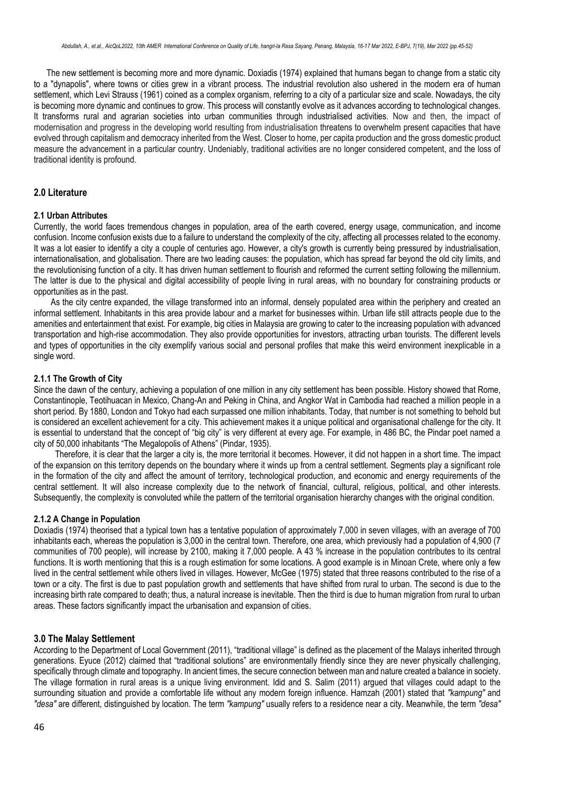The new settlement is becoming more and more dynamic. Doxiadis (1974) explained that humans began to change from a static city to a "dynapolis", where towns or cities grew in a vibrant process. The industrial revolution also ushered in the modern era of human settlement, which Levi Strauss (1961) coined as a complex organism, referring to a city of a particular size and scale. Nowadays, the city is becoming more dynamic and continues to grow. This process will constantly evolve as it advances according to technological changes. It transforms rural and agrarian societies into urban communities through industrialised activities. Now and then, the impact of modernisation and progress in the developing world resulting from industrialisation threatens to overwhelm present capacities that have evolved through capitalism and democracy inherited from the West. Closer to home, per capita production and the gross domestic product measure the advancement in a particular country. Undeniably, traditional activities are no longer considered competent, and the loss of traditional identity is profound.

## **2.0 Literature**

## **2.1 Urban Attributes**

Currently, the world faces tremendous changes in population, area of the earth covered, energy usage, communication, and income confusion. Income confusion exists due to a failure to understand the complexity of the city, affecting all processes related to the economy. It was a lot easier to identify a city a couple of centuries ago. However, a city's growth is currently being pressured by industrialisation, internationalisation, and globalisation. There are two leading causes: the population, which has spread far beyond the old city limits, and the revolutionising function of a city. It has driven human settlement to flourish and reformed the current setting following the millennium. The latter is due to the physical and digital accessibility of people living in rural areas, with no boundary for constraining products or opportunities as in the past.

As the city centre expanded, the village transformed into an informal, densely populated area within the periphery and created an informal settlement. Inhabitants in this area provide labour and a market for businesses within. Urban life still attracts people due to the amenities and entertainment that exist. For example, big cities in Malaysia are growing to cater to the increasing population with advanced transportation and high-rise accommodation. They also provide opportunities for investors, attracting urban tourists. The different levels and types of opportunities in the city exemplify various social and personal profiles that make this weird environment inexplicable in a single word.

## **2.1.1 The Growth of City**

Since the dawn of the century, achieving a population of one million in any city settlement has been possible. History showed that Rome, Constantinople, Teotihuacan in Mexico, Chang-An and Peking in China, and Angkor Wat in Cambodia had reached a million people in a short period. By 1880, London and Tokyo had each surpassed one million inhabitants. Today, that number is not something to behold but is considered an excellent achievement for a city. This achievement makes it a unique political and organisational challenge for the city. It is essential to understand that the concept of "big city" is very different at every age. For example, in 486 BC, the Pindar poet named a city of 50,000 inhabitants "The Megalopolis of Athens" (Pindar, 1935).

Therefore, it is clear that the larger a city is, the more territorial it becomes. However, it did not happen in a short time. The impact of the expansion on this territory depends on the boundary where it winds up from a central settlement. Segments play a significant role in the formation of the city and affect the amount of territory, technological production, and economic and energy requirements of the central settlement. It will also increase complexity due to the network of financial, cultural, religious, political, and other interests. Subsequently, the complexity is convoluted while the pattern of the territorial organisation hierarchy changes with the original condition.

## **2.1.2 A Change in Population**

Doxiadis (1974) theorised that a typical town has a tentative population of approximately 7,000 in seven villages, with an average of 700 inhabitants each, whereas the population is 3,000 in the central town. Therefore, one area, which previously had a population of 4,900 (7 communities of 700 people), will increase by 2100, making it 7,000 people. A 43 % increase in the population contributes to its central functions. It is worth mentioning that this is a rough estimation for some locations. A good example is in Minoan Crete, where only a few lived in the central settlement while others lived in villages. However, McGee (1975) stated that three reasons contributed to the rise of a town or a city. The first is due to past population growth and settlements that have shifted from rural to urban. The second is due to the increasing birth rate compared to death; thus, a natural increase is inevitable. Then the third is due to human migration from rural to urban areas. These factors significantly impact the urbanisation and expansion of cities.

## **3.0 The Malay Settlement**

According to the Department of Local Government (2011), "traditional village" is defined as the placement of the Malays inherited through generations. Eyuce (2012) claimed that "traditional solutions" are environmentally friendly since they are never physically challenging, specifically through climate and topography. In ancient times, the secure connection between man and nature created a balance in society. The village formation in rural areas is a unique living environment. Idid and S. Salim (2011) argued that villages could adapt to the surrounding situation and provide a comfortable life without any modern foreign influence. Hamzah (2001) stated that *"kampung"* and *"desa"* are different, distinguished by location. The term *"kampung"* usually refers to a residence near a city. Meanwhile, the term *"desa"*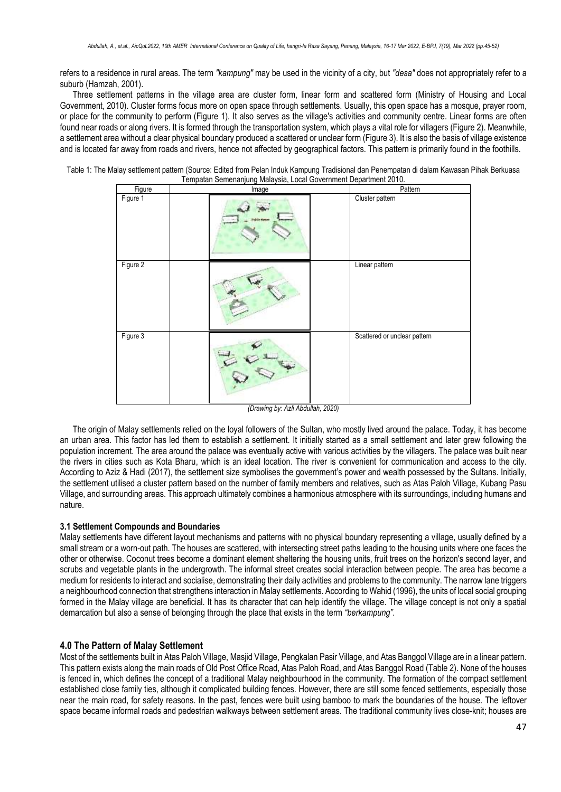refers to a residence in rural areas. The term *"kampung"* may be used in the vicinity of a city, but *"desa"* does not appropriately refer to a suburb (Hamzah, 2001).

Three settlement patterns in the village area are cluster form, linear form and scattered form (Ministry of Housing and Local Government, 2010). Cluster forms focus more on open space through settlements. Usually, this open space has a mosque, prayer room, or place for the community to perform (Figure 1). It also serves as the village's activities and community centre. Linear forms are often found near roads or along rivers. It is formed through the transportation system, which plays a vital role for villagers (Figure 2). Meanwhile, a settlement area without a clear physical boundary produced a scattered or unclear form (Figure 3). It is also the basis of village existence and is located far away from roads and rivers, hence not affected by geographical factors. This pattern is primarily found in the foothills.

Table 1: The Malay settlement pattern (Source: Edited from Pelan Induk Kampung Tradisional dan Penempatan di dalam Kawasan Pihak Berkuasa Tempatan Semenanjung Malaysia, Local Government Department 2010.

| Figure   | Image | Pattern                      |
|----------|-------|------------------------------|
| Figure 1 |       | Cluster pattern              |
| Figure 2 |       | Linear pattern               |
| Figure 3 |       | Scattered or unclear pattern |

*(Drawing by: Azli Abdullah, 2020)*

The origin of Malay settlements relied on the loyal followers of the Sultan, who mostly lived around the palace. Today, it has become an urban area. This factor has led them to establish a settlement. It initially started as a small settlement and later grew following the population increment. The area around the palace was eventually active with various activities by the villagers. The palace was built near the rivers in cities such as Kota Bharu, which is an ideal location. The river is convenient for communication and access to the city. According to Aziz & Hadi (2017), the settlement size symbolises the government's power and wealth possessed by the Sultans. Initially, the settlement utilised a cluster pattern based on the number of family members and relatives, such as Atas Paloh Village, Kubang Pasu Village, and surrounding areas. This approach ultimately combines a harmonious atmosphere with its surroundings, including humans and nature.

## **3.1 Settlement Compounds and Boundaries**

Malay settlements have different layout mechanisms and patterns with no physical boundary representing a village, usually defined by a small stream or a worn-out path. The houses are scattered, with intersecting street paths leading to the housing units where one faces the other or otherwise. Coconut trees become a dominant element sheltering the housing units, fruit trees on the horizon's second layer, and scrubs and vegetable plants in the undergrowth. The informal street creates social interaction between people. The area has become a medium for residents to interact and socialise, demonstrating their daily activities and problems to the community. The narrow lane triggers a neighbourhood connection that strengthens interaction in Malay settlements. According to Wahid (1996), the units of local social grouping formed in the Malay village are beneficial. It has its character that can help identify the village. The village concept is not only a spatial demarcation but also a sense of belonging through the place that exists in the term *"berkampung"*.

## **4.0 The Pattern of Malay Settlement**

Most of the settlements built in Atas Paloh Village, Masjid Village, Pengkalan Pasir Village, and Atas Banggol Village are in a linear pattern. This pattern exists along the main roads of Old Post Office Road, Atas Paloh Road, and Atas Banggol Road (Table 2). None of the houses is fenced in, which defines the concept of a traditional Malay neighbourhood in the community. The formation of the compact settlement established close family ties, although it complicated building fences. However, there are still some fenced settlements, especially those near the main road, for safety reasons. In the past, fences were built using bamboo to mark the boundaries of the house. The leftover space became informal roads and pedestrian walkways between settlement areas. The traditional community lives close-knit; houses are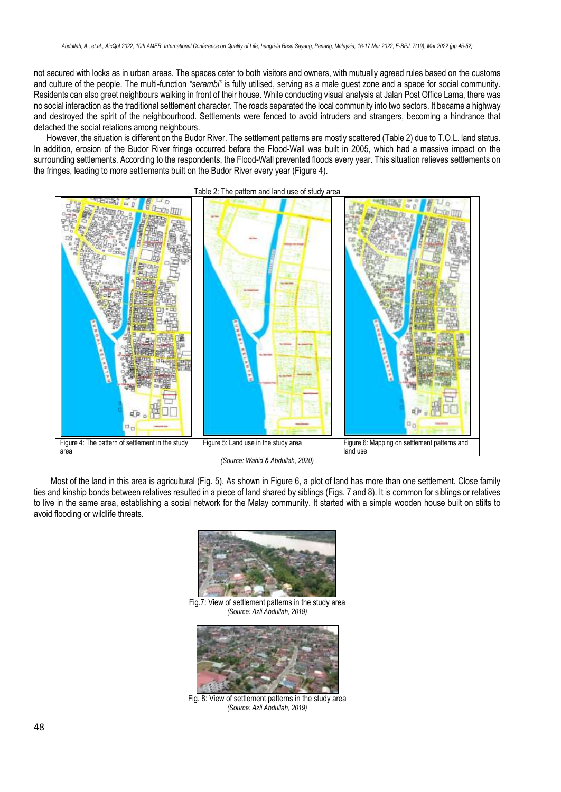not secured with locks as in urban areas. The spaces cater to both visitors and owners, with mutually agreed rules based on the customs and culture of the people. The multi-function *"serambi"* is fully utilised, serving as a male guest zone and a space for social community. Residents can also greet neighbours walking in front of their house. While conducting visual analysis at Jalan Post Office Lama, there was no social interaction as the traditional settlement character. The roads separated the local community into two sectors. It became a highway and destroyed the spirit of the neighbourhood. Settlements were fenced to avoid intruders and strangers, becoming a hindrance that detached the social relations among neighbours.

However, the situation is different on the Budor River. The settlement patterns are mostly scattered (Table 2) due to T.O.L. land status. In addition, erosion of the Budor River fringe occurred before the Flood-Wall was built in 2005, which had a massive impact on the surrounding settlements. According to the respondents, the Flood-Wall prevented floods every year. This situation relieves settlements on the fringes, leading to more settlements built on the Budor River every year (Figure 4).



*(Source: Wahid & Abdullah, 2020)*

Most of the land in this area is agricultural (Fig. 5). As shown in Figure 6, a plot of land has more than one settlement. Close family ties and kinship bonds between relatives resulted in a piece of land shared by siblings (Figs. 7 and 8). It is common for siblings or relatives to live in the same area, establishing a social network for the Malay community. It started with a simple wooden house built on stilts to avoid flooding or wildlife threats.



Fig.7: View of settlement patterns in the study area *(Source: Azli Abdullah, 2019)*



Fig. 8: View of settlement patterns in the study area *(Source: Azli Abdullah, 2019)*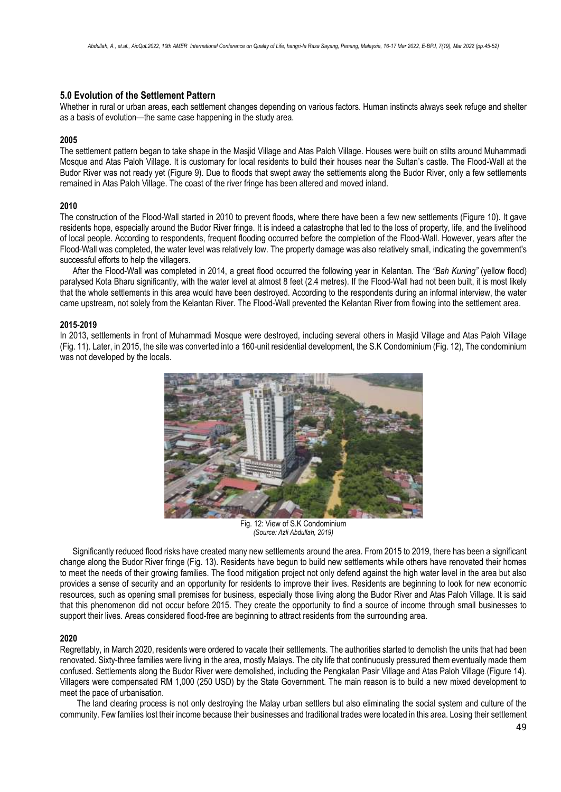## **5.0 Evolution of the Settlement Pattern**

Whether in rural or urban areas, each settlement changes depending on various factors. Human instincts always seek refuge and shelter as a basis of evolution—the same case happening in the study area.

#### **2005**

The settlement pattern began to take shape in the Masjid Village and Atas Paloh Village. Houses were built on stilts around Muhammadi Mosque and Atas Paloh Village. It is customary for local residents to build their houses near the Sultan's castle. The Flood-Wall at the Budor River was not ready yet (Figure 9). Due to floods that swept away the settlements along the Budor River, only a few settlements remained in Atas Paloh Village. The coast of the river fringe has been altered and moved inland.

#### **2010**

The construction of the Flood-Wall started in 2010 to prevent floods, where there have been a few new settlements (Figure 10). It gave residents hope, especially around the Budor River fringe. It is indeed a catastrophe that led to the loss of property, life, and the livelihood of local people. According to respondents, frequent flooding occurred before the completion of the Flood-Wall. However, years after the Flood-Wall was completed, the water level was relatively low. The property damage was also relatively small, indicating the government's successful efforts to help the villagers.

After the Flood-Wall was completed in 2014, a great flood occurred the following year in Kelantan. The *"Bah Kuning"* (yellow flood) paralysed Kota Bharu significantly, with the water level at almost 8 feet (2.4 metres). If the Flood-Wall had not been built, it is most likely that the whole settlements in this area would have been destroyed. According to the respondents during an informal interview, the water came upstream, not solely from the Kelantan River. The Flood-Wall prevented the Kelantan River from flowing into the settlement area.

#### **2015-2019**

In 2013, settlements in front of Muhammadi Mosque were destroyed, including several others in Masjid Village and Atas Paloh Village (Fig. 11). Later, in 2015, the site was converted into a 160-unit residential development, the S.K Condominium (Fig. 12), The condominium was not developed by the locals.



Fig. 12: View of S.K Condominium *(Source: Azli Abdullah, 2019)*

Significantly reduced flood risks have created many new settlements around the area. From 2015 to 2019, there has been a significant change along the Budor River fringe (Fig. 13). Residents have begun to build new settlements while others have renovated their homes to meet the needs of their growing families. The flood mitigation project not only defend against the high water level in the area but also provides a sense of security and an opportunity for residents to improve their lives. Residents are beginning to look for new economic resources, such as opening small premises for business, especially those living along the Budor River and Atas Paloh Village. It is said that this phenomenon did not occur before 2015. They create the opportunity to find a source of income through small businesses to support their lives. Areas considered flood-free are beginning to attract residents from the surrounding area.

### **2020**

Regrettably, in March 2020, residents were ordered to vacate their settlements. The authorities started to demolish the units that had been renovated. Sixty-three families were living in the area, mostly Malays. The city life that continuously pressured them eventually made them confused. Settlements along the Budor River were demolished, including the Pengkalan Pasir Village and Atas Paloh Village (Figure 14). Villagers were compensated RM 1,000 (250 USD) by the State Government. The main reason is to build a new mixed development to meet the pace of urbanisation.

The land clearing process is not only destroying the Malay urban settlers but also eliminating the social system and culture of the community. Few families lost their income because their businesses and traditional trades were located in this area. Losing their settlement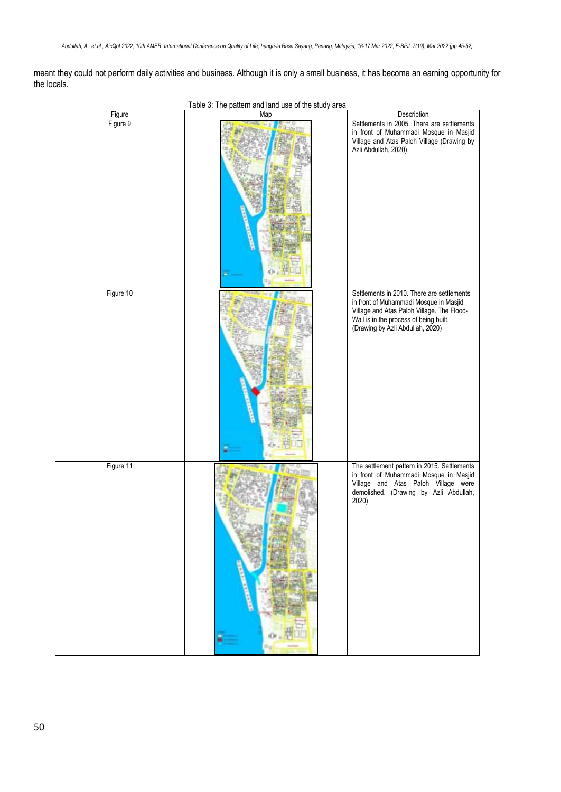meant they could not perform daily activities and business. Although it is only a small business, it has become an earning opportunity for the locals.

|           | rable of the pattern and land ase of the stady area |                                                                                                                                                                                                                  |
|-----------|-----------------------------------------------------|------------------------------------------------------------------------------------------------------------------------------------------------------------------------------------------------------------------|
| Figure    | Map                                                 | Description                                                                                                                                                                                                      |
| Figure 9  |                                                     | Settlements in 2005. There are settlements<br>in front of Muhammadi Mosque in Masjid<br>Village and Atas Paloh Village (Drawing by<br>Azli Abdullah, 2020).                                                      |
| Figure 10 |                                                     | Settlements in 2010. There are settlements<br>in front of Muhammadi Mosque in Masjid<br>Village and Atas Paloh Village. The Flood-<br>Wall is in the process of being built.<br>(Drawing by Azli Abdullah, 2020) |
| Figure 11 |                                                     | The settlement pattern in 2015. Settlements<br>in front of Muhammadi Mosque in Masjid<br>Village and Atas Paloh Village were<br>demolished. (Drawing by Azli Abdullah,<br>2020)                                  |

Table 3: The pattern and land use of the study area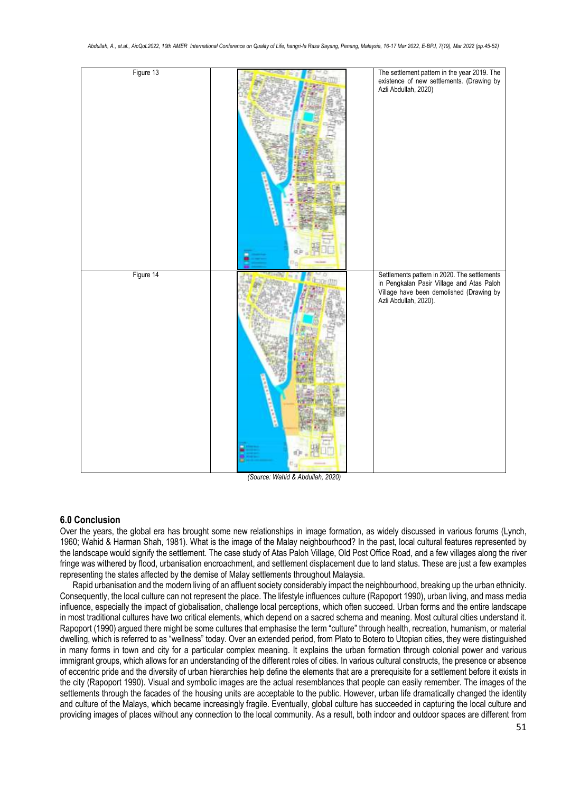

*(Source: Wahid & Abdullah, 2020)*

## **6.0 Conclusion**

Over the years, the global era has brought some new relationships in image formation, as widely discussed in various forums (Lynch, 1960; Wahid & Harman Shah, 1981). What is the image of the Malay neighbourhood? In the past, local cultural features represented by the landscape would signify the settlement. The case study of Atas Paloh Village, Old Post Office Road, and a few villages along the river fringe was withered by flood, urbanisation encroachment, and settlement displacement due to land status. These are just a few examples representing the states affected by the demise of Malay settlements throughout Malaysia.

Rapid urbanisation and the modern living of an affluent society considerably impact the neighbourhood, breaking up the urban ethnicity. Consequently, the local culture can not represent the place. The lifestyle influences culture (Rapoport 1990), urban living, and mass media influence, especially the impact of globalisation, challenge local perceptions, which often succeed. Urban forms and the entire landscape in most traditional cultures have two critical elements, which depend on a sacred schema and meaning. Most cultural cities understand it. Rapoport (1990) argued there might be some cultures that emphasise the term "culture" through health, recreation, humanism, or material dwelling, which is referred to as "wellness" today. Over an extended period, from Plato to Botero to Utopian cities, they were distinguished in many forms in town and city for a particular complex meaning. It explains the urban formation through colonial power and various immigrant groups, which allows for an understanding of the different roles of cities. In various cultural constructs, the presence or absence of eccentric pride and the diversity of urban hierarchies help define the elements that are a prerequisite for a settlement before it exists in the city (Rapoport 1990). Visual and symbolic images are the actual resemblances that people can easily remember. The images of the settlements through the facades of the housing units are acceptable to the public. However, urban life dramatically changed the identity and culture of the Malays, which became increasingly fragile. Eventually, global culture has succeeded in capturing the local culture and providing images of places without any connection to the local community. As a result, both indoor and outdoor spaces are different from